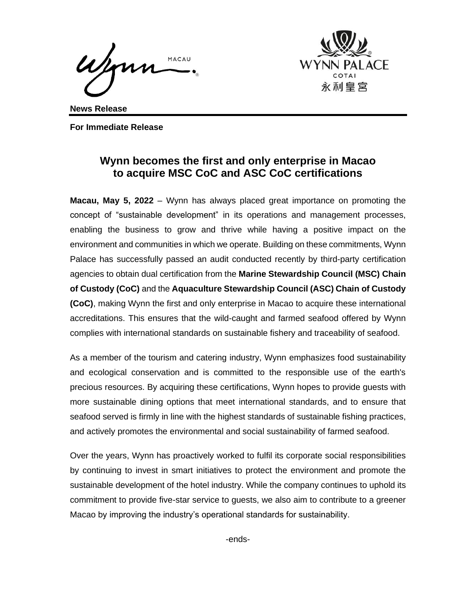Jan MACAU



**News Release**

**For Immediate Release**

## **Wynn becomes the first and only enterprise in Macao to acquire MSC CoC and ASC CoC certifications**

**Macau, May 5, 2022** – Wynn has always placed great importance on promoting the concept of "sustainable development" in its operations and management processes, enabling the business to grow and thrive while having a positive impact on the environment and communities in which we operate. Building on these commitments, Wynn Palace has successfully passed an audit conducted recently by third-party certification agencies to obtain dual certification from the **Marine Stewardship Council (MSC) Chain of Custody (CoC)** and the **Aquaculture Stewardship Council (ASC) Chain of Custody (CoC)**, making Wynn the first and only enterprise in Macao to acquire these international accreditations. This ensures that the wild-caught and farmed seafood offered by Wynn complies with international standards on sustainable fishery and traceability of seafood.

As a member of the tourism and catering industry, Wynn emphasizes food sustainability and ecological conservation and is committed to the responsible use of the earth's precious resources. By acquiring these certifications, Wynn hopes to provide guests with more sustainable dining options that meet international standards, and to ensure that seafood served is firmly in line with the highest standards of sustainable fishing practices, and actively promotes the environmental and social sustainability of farmed seafood.

Over the years, Wynn has proactively worked to fulfil its corporate social responsibilities by continuing to invest in smart initiatives to protect the environment and promote the sustainable development of the hotel industry. While the company continues to uphold its commitment to provide five-star service to guests, we also aim to contribute to a greener Macao by improving the industry's operational standards for sustainability.